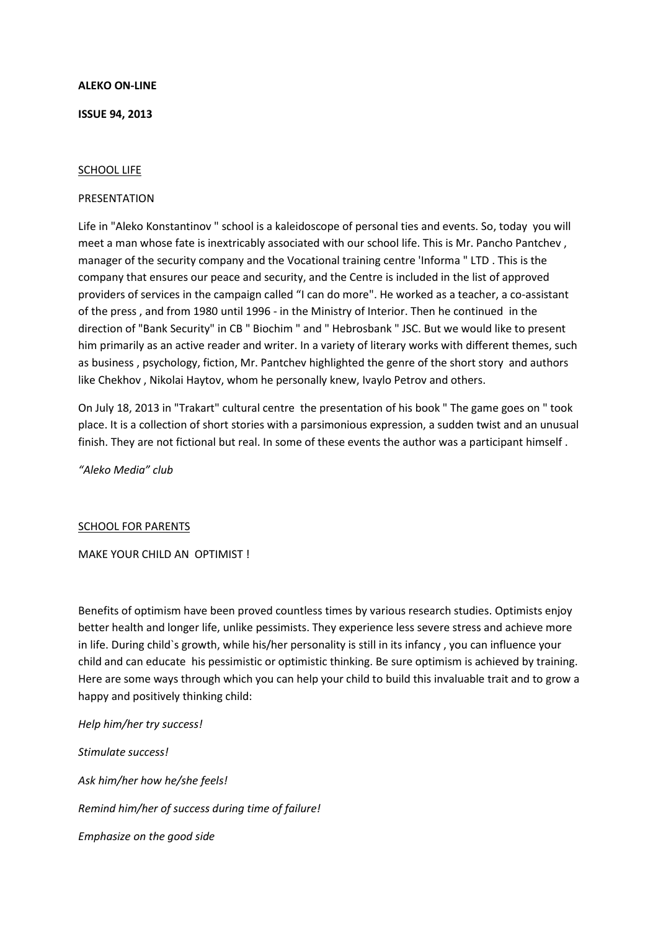### **ALEKO ON-LINE**

### **ISSUE 94, 2013**

### SCHOOL LIFE

### PRESENTATION

Life in "Aleko Konstantinov " school is a kaleidoscope of personal ties and events. So, today you will meet a man whose fate is inextricably associated with our school life. This is Mr. Pancho Pantchev , manager of the security company and the Vocational training centre 'Informa " LTD . This is the company that ensures our peace and security, and the Centre is included in the list of approved providers of services in the campaign called "I can do more". He worked as a teacher, a co-assistant of the press , and from 1980 until 1996 - in the Ministry of Interior. Then he continued in the direction of "Bank Security" in CB " Biochim " and " Hebrosbank " JSC. But we would like to present him primarily as an active reader and writer. In a variety of literary works with different themes, such as business , psychology, fiction, Mr. Pantchev highlighted the genre of the short story and authors like Chekhov , Nikolai Haytov, whom he personally knew, Ivaylo Petrov and others.

On July 18, 2013 in "Trakart" cultural centre the presentation of his book " The game goes on " took place. It is a collection of short stories with a parsimonious expression, a sudden twist and an unusual finish. They are not fictional but real. In some of these events the author was a participant himself .

*"Aleko Media" club*

#### SCHOOL FOR PARENTS

MAKE YOUR CHILD AN OPTIMIST !

Benefits of optimism have been proved countless times by various research studies. Optimists enjoy better health and longer life, unlike pessimists. They experience less severe stress and achieve more in life. During child`s growth, while his/her personality is still in its infancy , you can influence your child and can educate his pessimistic or optimistic thinking. Be sure optimism is achieved by training. Here are some ways through which you can help your child to build this invaluable trait and to grow a happy and positively thinking child:

*Help him/her try success! Stimulate success! Ask him/her how he/she feels! Remind him/her of success during time of failure! Emphasize on the good side*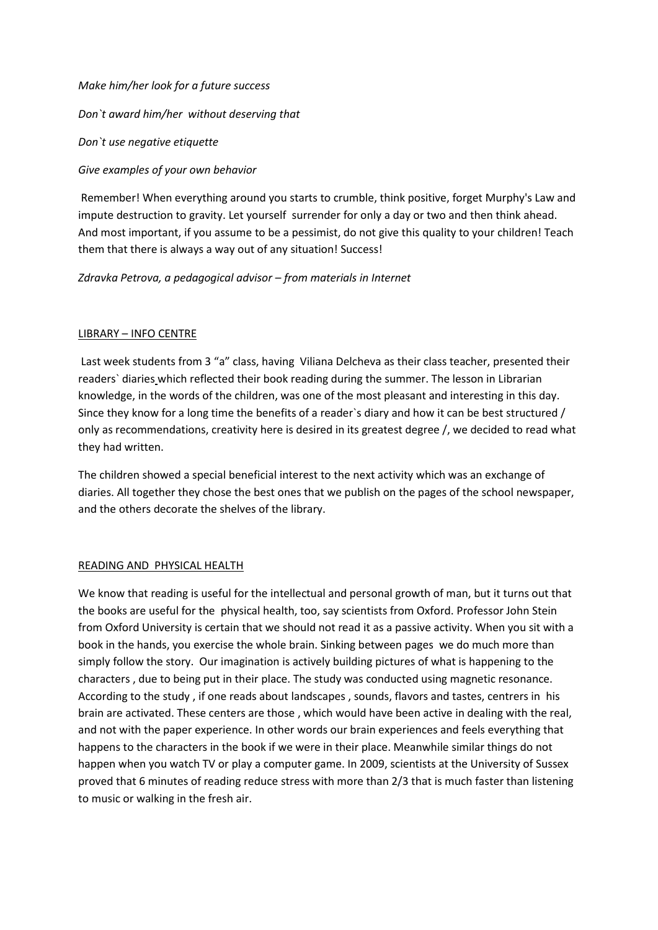### *Make him/her look for a future success*

*Don`t award him/her without deserving that*

*Don`t use negative etiquette*

*Give examples of your own behavior*

Remember! When everything around you starts to crumble, think positive, forget Murphy's Law and impute destruction to gravity. Let yourself surrender for only a day or two and then think ahead. And most important, if you assume to be a pessimist, do not give this quality to your children! Teach them that there is always a way out of any situation! Success!

*Zdravka Petrova, a pedagogical advisor – from materials in Internet*

# LIBRARY – INFO CENTRE

Last week students from 3 "a" class, having Viliana Delcheva as their class teacher, presented their readers` diaries which reflected their book reading during the summer. The lesson in Librarian knowledge, in the words of the children, was one of the most pleasant and interesting in this day. Since they know for a long time the benefits of a reader`s diary and how it can be best structured / only as recommendations, creativity here is desired in its greatest degree /, we decided to read what they had written.

The children showed a special beneficial interest to the next activity which was an exchange of diaries. All together they chose the best ones that we publish on the pages of the school newspaper, and the others decorate the shelves of the library.

# READING AND PHYSICAL HEALTH

We know that reading is useful for the intellectual and personal growth of man, but it turns out that the books are useful for the physical health, too, say scientists from Oxford. Professor John Stein from Oxford University is certain that we should not read it as a passive activity. When you sit with a book in the hands, you exercise the whole brain. Sinking between pages we do much more than simply follow the story. Our imagination is actively building pictures of what is happening to the characters , due to being put in their place. The study was conducted using magnetic resonance. According to the study , if one reads about landscapes , sounds, flavors and tastes, centrers in his brain are activated. These centers are those , which would have been active in dealing with the real, and not with the paper experience. In other words our brain experiences and feels everything that happens to the characters in the book if we were in their place. Meanwhile similar things do not happen when you watch TV or play a computer game. In 2009, scientists at the University of Sussex proved that 6 minutes of reading reduce stress with more than 2/3 that is much faster than listening to music or walking in the fresh air.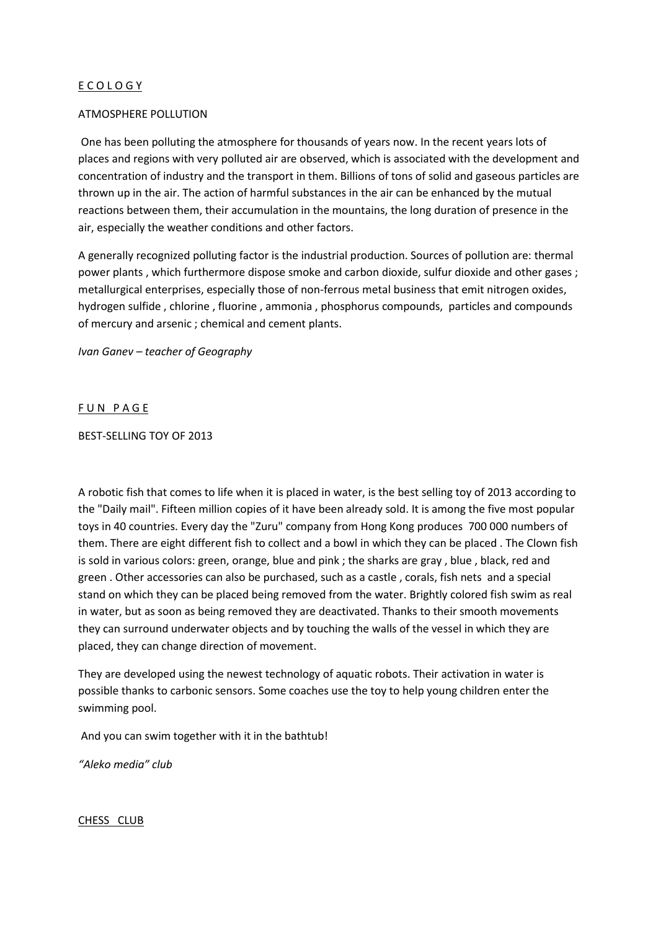# E C O L O G Y

### ATMOSPHERE POLLUTION

One has been polluting the atmosphere for thousands of years now. In the recent years lots of places and regions with very polluted air are observed, which is associated with the development and concentration of industry and the transport in them. Billions of tons of solid and gaseous particles are thrown up in the air. The action of harmful substances in the air can be enhanced by the mutual reactions between them, their accumulation in the mountains, the long duration of presence in the air, especially the weather conditions and other factors.

A generally recognized polluting factor is the industrial production. Sources of pollution are: thermal power plants , which furthermore dispose smoke and carbon dioxide, sulfur dioxide and other gases ; metallurgical enterprises, especially those of non-ferrous metal business that emit nitrogen oxides, hydrogen sulfide , chlorine , fluorine , ammonia , phosphorus compounds, particles and compounds of mercury and arsenic ; chemical and cement plants.

*Ivan Ganev – teacher of Geography*

### FUN PAGE

#### BEST-SELLING TOY OF 2013

A robotic fish that comes to life when it is placed in water, is the best selling toy of 2013 according to the "Daily mail". Fifteen million copies of it have been already sold. It is among the five most popular toys in 40 countries. Every day the "Zuru" company from Hong Kong produces 700 000 numbers of them. There are eight different fish to collect and a bowl in which they can be placed . The Clown fish is sold in various colors: green, orange, blue and pink ; the sharks are gray , blue , black, red and green . Other accessories can also be purchased, such as a castle , corals, fish nets and a special stand on which they can be placed being removed from the water. Brightly colored fish swim as real in water, but as soon as being removed they are deactivated. Thanks to their smooth movements they can surround underwater objects and by touching the walls of the vessel in which they are placed, they can change direction of movement.

They are developed using the newest technology of aquatic robots. Their activation in water is possible thanks to carbonic sensors. Some coaches use the toy to help young children enter the swimming pool.

And you can swim together with it in the bathtub!

*"Aleko media" club*

CHESS CLUB